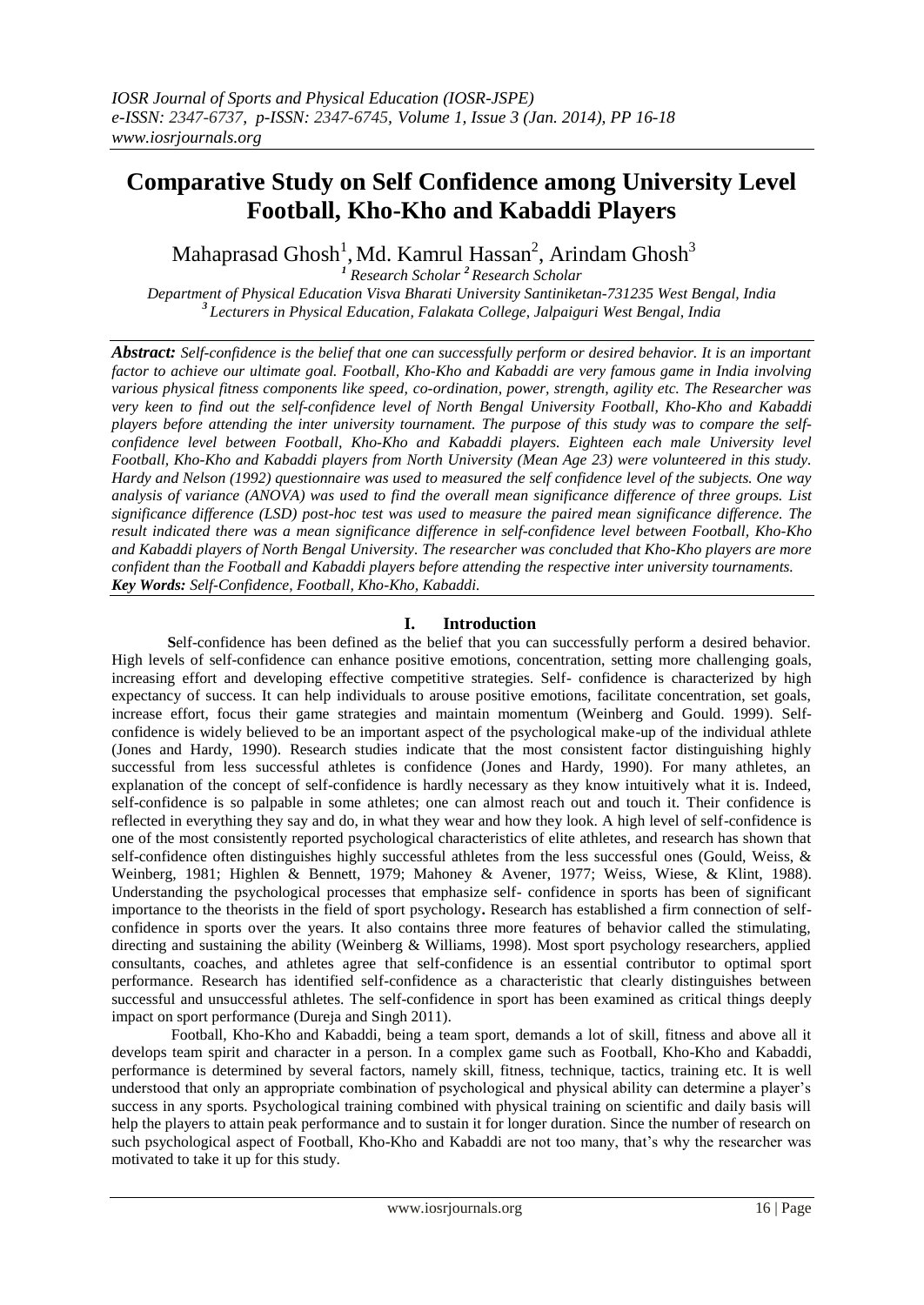# **Comparative Study on Self Confidence among University Level Football, Kho-Kho and Kabaddi Players**

Mahaprasad Ghosh<sup>1</sup>, Md. Kamrul Hassan<sup>2</sup>, Arindam Ghosh<sup>3</sup>

*<sup>1</sup> Research Scholar <sup>2</sup>Research Scholar Department of Physical Education Visva Bharati University Santiniketan-731235 West Bengal, India <sup>3</sup>Lecturers in Physical Education, Falakata College, Jalpaiguri West Bengal, India*

*Abstract: Self-confidence is the belief that one can successfully perform or desired behavior. It is an important factor to achieve our ultimate goal. Football, Kho-Kho and Kabaddi are very famous game in India involving various physical fitness components like speed, co-ordination, power, strength, agility etc. The Researcher was very keen to find out the self-confidence level of North Bengal University Football, Kho-Kho and Kabaddi players before attending the inter university tournament. The purpose of this study was to compare the selfconfidence level between Football, Kho-Kho and Kabaddi players. Eighteen each male University level Football, Kho-Kho and Kabaddi players from North University (Mean Age 23) were volunteered in this study. Hardy and Nelson (1992) questionnaire was used to measured the self confidence level of the subjects. One way analysis of variance (ANOVA) was used to find the overall mean significance difference of three groups. List significance difference (LSD) post-hoc test was used to measure the paired mean significance difference. The result indicated there was a mean significance difference in self-confidence level between Football, Kho-Kho and Kabaddi players of North Bengal University. The researcher was concluded that Kho-Kho players are more confident than the Football and Kabaddi players before attending the respective inter university tournaments. Key Words: Self-Confidence, Football, Kho-Kho, Kabaddi.*

# **I. Introduction**

**S**elf-confidence has been defined as the belief that you can successfully perform a desired behavior. High levels of self-confidence can enhance positive emotions, concentration, setting more challenging goals, increasing effort and developing effective competitive strategies. Self- confidence is characterized by high expectancy of success. It can help individuals to arouse positive emotions, facilitate concentration, set goals, increase effort, focus their game strategies and maintain momentum (Weinberg and Gould. 1999). Selfconfidence is widely believed to be an important aspect of the psychological make-up of the individual athlete (Jones and Hardy, 1990). Research studies indicate that the most consistent factor distinguishing highly successful from less successful athletes is confidence (Jones and Hardy, 1990). For many athletes, an explanation of the concept of self-confidence is hardly necessary as they know intuitively what it is. Indeed, self-confidence is so palpable in some athletes; one can almost reach out and touch it. Their confidence is reflected in everything they say and do, in what they wear and how they look. A high level of self-confidence is one of the most consistently reported psychological characteristics of elite athletes, and research has shown that self-confidence often distinguishes highly successful athletes from the less successful ones (Gould, Weiss, & Weinberg, 1981; Highlen & Bennett, 1979; Mahoney & Avener, 1977; Weiss, Wiese, & Klint, 1988). Understanding the psychological processes that emphasize self- confidence in sports has been of significant importance to the theorists in the field of sport psychology**.** Research has established a firm connection of selfconfidence in sports over the years. It also contains three more features of behavior called the stimulating, directing and sustaining the ability (Weinberg & Williams, 1998). Most sport psychology researchers, applied consultants, coaches, and athletes agree that self-confidence is an essential contributor to optimal sport performance. Research has identified self-confidence as a characteristic that clearly distinguishes between successful and unsuccessful athletes. The self-confidence in sport has been examined as critical things deeply impact on sport performance (Dureja and Singh 2011).

Football, Kho-Kho and Kabaddi, being a team sport, demands a lot of skill, fitness and above all it develops team spirit and character in a person. In a complex game such as Football, Kho-Kho and Kabaddi, performance is determined by several factors, namely skill, fitness, technique, tactics, training etc. It is well understood that only an appropriate combination of psychological and physical ability can determine a player's success in any sports. Psychological training combined with physical training on scientific and daily basis will help the players to attain peak performance and to sustain it for longer duration. Since the number of research on such psychological aspect of Football, Kho-Kho and Kabaddi are not too many, that's why the researcher was motivated to take it up for this study.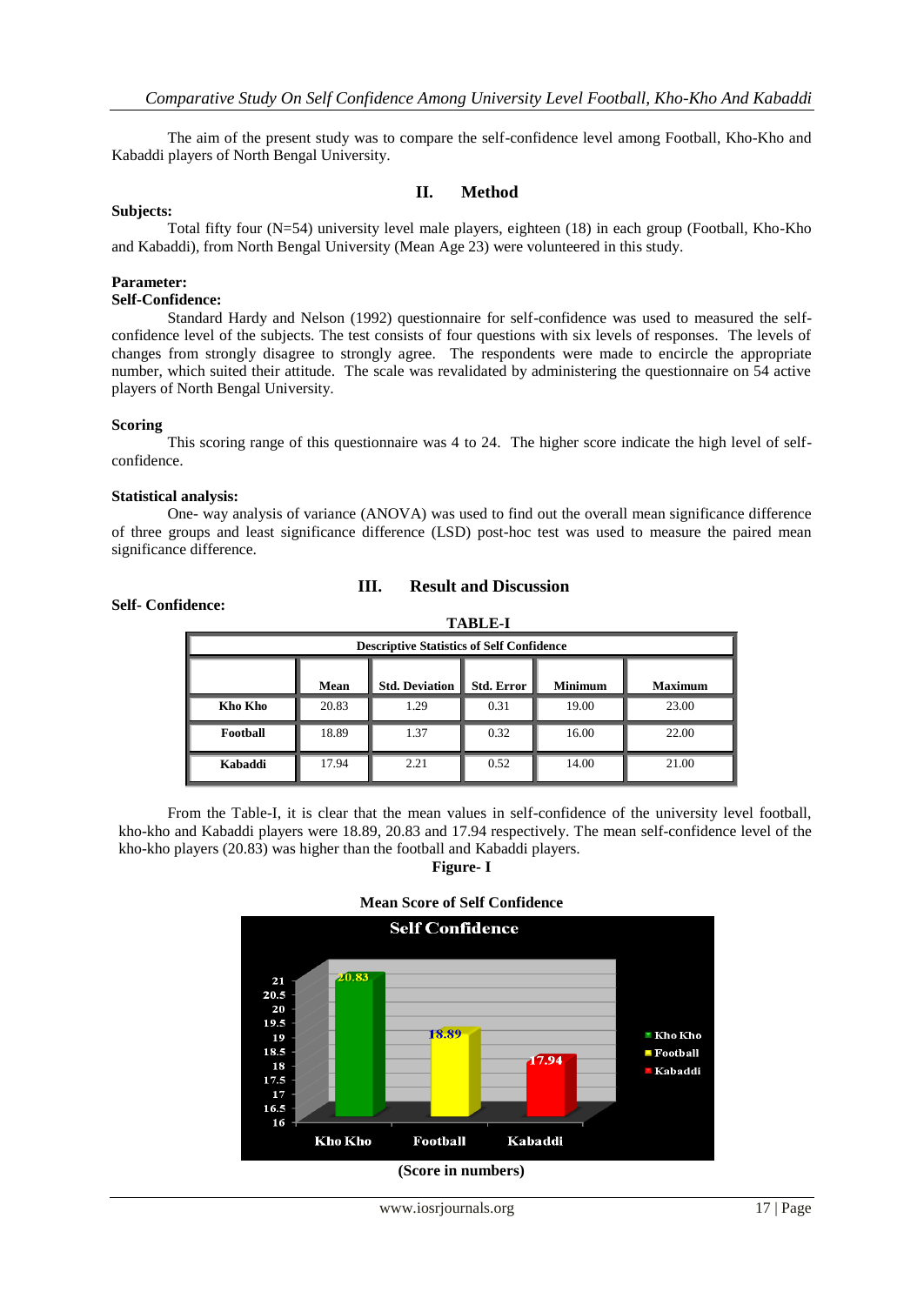The aim of the present study was to compare the self-confidence level among Football, Kho-Kho and Kabaddi players of North Bengal University.

## **II. Method**

#### **Subjects:**

Total fifty four (N=54) university level male players, eighteen (18) in each group (Football, Kho-Kho and Kabaddi), from North Bengal University (Mean Age 23) were volunteered in this study.

#### **Parameter:**

## **Self-Confidence:**

Standard Hardy and Nelson (1992) questionnaire for self-confidence was used to measured the selfconfidence level of the subjects. The test consists of four questions with six levels of responses. The levels of changes from strongly disagree to strongly agree. The respondents were made to encircle the appropriate number, which suited their attitude. The scale was revalidated by administering the questionnaire on 54 active players of North Bengal University.

#### **Scoring**

This scoring range of this questionnaire was 4 to 24. The higher score indicate the high level of selfconfidence.

#### **Statistical analysis:**

One- way analysis of variance (ANOVA) was used to find out the overall mean significance difference of three groups and least significance difference (LSD) post-hoc test was used to measure the paired mean significance difference.

**III. Result and Discussion**



**Self- Confidence:**

## From the Table-I, it is clear that the mean values in self-confidence of the university level football, kho-kho and Kabaddi players were 18.89, 20.83 and 17.94 respectively. The mean self-confidence level of the kho-kho players (20.83) was higher than the football and Kabaddi players.

**Figure- I**